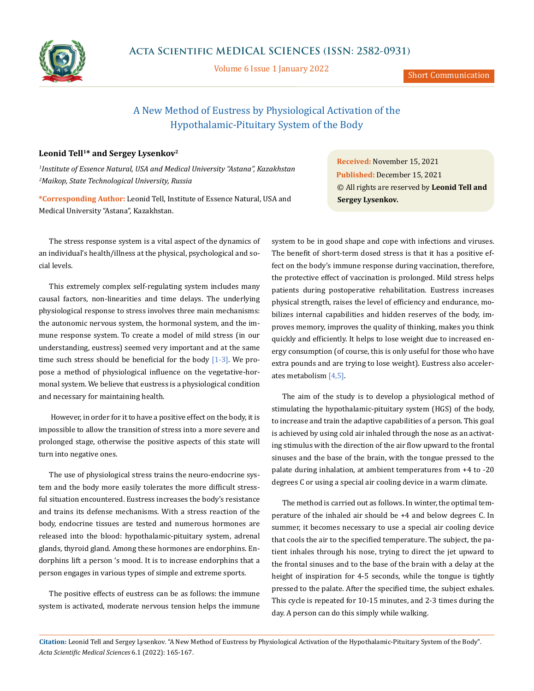

Volume 6 Issue 1 January 2022

Short Communication

# A New Method of Eustress by Physiological Activation of the Hypothalamic-Pituitary System of the Body

## Leonid Tell<sup>1\*</sup> and Sergey Lysenkov<sup>2</sup>

*1 Institute of Essence Natural, USA and Medical University "Astana", Kazakhstan 2 Maikop, State Technological University, Russia*

**\*Corresponding Author:** Leonid Tell, Institute of Essence Natural, USA and Medical University "Astana", Kazakhstan.

The stress response system is a vital aspect of the dynamics of an individual's health/illness at the physical, psychological and social levels.

This extremely complex self-regulating system includes many causal factors, non-linearities and time delays. The underlying physiological response to stress involves three main mechanisms: the autonomic nervous system, the hormonal system, and the immune response system. To create a model of mild stress (in our understanding, eustress) seemed very important and at the same time such stress should be beneficial for the body  $[1-3]$ . We propose a method of physiological influence on the vegetative-hormonal system. We believe that eustress is a physiological condition and necessary for maintaining health.

 However, in order for it to have a positive effect on the body, it is impossible to allow the transition of stress into a more severe and prolonged stage, otherwise the positive aspects of this state will turn into negative ones.

The use of physiological stress trains the neuro-endocrine system and the body more easily tolerates the more difficult stressful situation encountered. Eustress increases the body's resistance and trains its defense mechanisms. With a stress reaction of the body, endocrine tissues are tested and numerous hormones are released into the blood: hypothalamic-pituitary system, adrenal glands, thyroid gland. Among these hormones are endorphins. Endorphins lift a person 's mood. It is to increase endorphins that a person engages in various types of simple and extreme sports.

The positive effects of eustress can be as follows: the immune system is activated, moderate nervous tension helps the immune

**Received:** November 15, 2021 **Published:** December 15, 2021 © All rights are reserved by **Leonid Tell and Sergey Lysenkov***.*

system to be in good shape and cope with infections and viruses. The benefit of short-term dosed stress is that it has a positive effect on the body's immune response during vaccination, therefore, the protective effect of vaccination is prolonged. Mild stress helps patients during postoperative rehabilitation. Eustress increases physical strength, raises the level of efficiency and endurance, mobilizes internal capabilities and hidden reserves of the body, improves memory, improves the quality of thinking, makes you think quickly and efficiently. It helps to lose weight due to increased energy consumption (of course, this is only useful for those who have extra pounds and are trying to lose weight). Eustress also accelerates metabolism [4,5].

The aim of the study is to develop a physiological method of stimulating the hypothalamic-pituitary system (HGS) of the body, to increase and train the adaptive capabilities of a person. This goal is achieved by using cold air inhaled through the nose as an activating stimulus with the direction of the air flow upward to the frontal sinuses and the base of the brain, with the tongue pressed to the palate during inhalation, at ambient temperatures from +4 to -20 degrees C or using a special air cooling device in a warm climate.

The method is carried out as follows. In winter, the optimal temperature of the inhaled air should be +4 and below degrees C. In summer, it becomes necessary to use a special air cooling device that cools the air to the specified temperature. The subject, the patient inhales through his nose, trying to direct the jet upward to the frontal sinuses and to the base of the brain with a delay at the height of inspiration for 4-5 seconds, while the tongue is tightly pressed to the palate. After the specified time, the subject exhales. This cycle is repeated for 10-15 minutes, and 2-3 times during the day. A person can do this simply while walking.

**Citation:** Leonid Tell and Sergey Lysenkov*.* "A New Method of Eustress by Physiological Activation of the Hypothalamic-Pituitary System of the Body". *Acta Scientific Medical Sciences* 6.1 (2022): 165-167.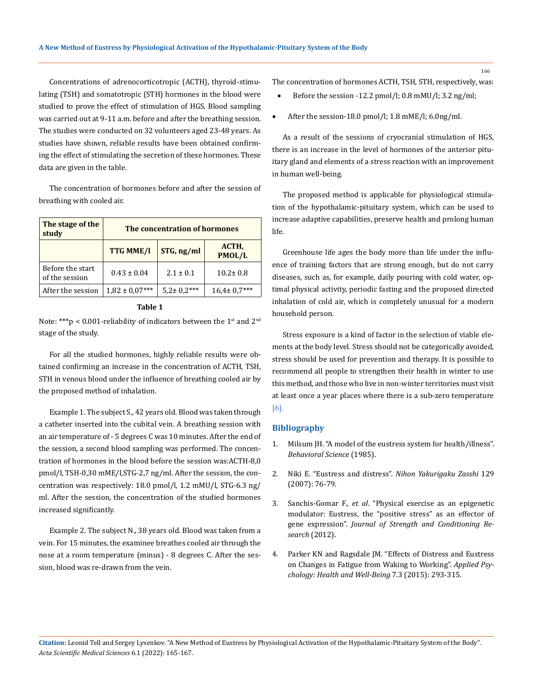Concentrations of adrenocorticotropic (ACTH), thyroid-stimulating (TSH) and somatotropic (STH) hormones in the blood were studied to prove the effect of stimulation of HGS. Blood sampling was carried out at 9-11 a.m. before and after the breathing session. The studies were conducted on 32 volunteers aged 23-48 years. As studies have shown, reliable results have been obtained confirming the effect of stimulating the secretion of these hormones. These data are given in the table.

The concentration of hormones before and after the session of breathing with cooled air.

| The stage of the<br>study          | The concentration of hormones |                   |                   |
|------------------------------------|-------------------------------|-------------------|-------------------|
|                                    | <b>TTG MME/I</b>              | STG, ng/ml        | ACTH,<br>PMOL/L   |
| Before the start<br>of the session | $0.43 \pm 0.04$               | $2.1 \pm 0.1$     | $10.2 \pm 0.8$    |
| After the session                  | $1,82 \pm 0.07***$            | $5.2 \pm 0.2$ *** | $16.4 \pm 0.7***$ |

#### **Table 1**

Note: \*\*\*p < 0.001-reliability of indicators between the  $1<sup>st</sup>$  and  $2<sup>nd</sup>$ stage of the study.

For all the studied hormones, highly reliable results were obtained confirming an increase in the concentration of ACTH, TSH, STH in venous blood under the influence of breathing cooled air by the proposed method of inhalation.

Example 1. The subject S., 42 years old. Blood was taken through a catheter inserted into the cubital vein. A breathing session with an air temperature of - 5 degrees C was 10 minutes. After the end of the session, a second blood sampling was performed. The concentration of hormones in the blood before the session was:ACTH-8,0 pmol/l, TSH-0,30 mME/l,STG-2,7 ng/ml. After the session, the concentration was respectively: 18.0 pmol/l, 1.2 mMU/l, STG-6.3 ng/ ml. After the session, the concentration of the studied hormones increased significantly.

Example 2. The subject N., 38 years old. Blood was taken from a vein. For 15 minutes, the examinee breathes cooled air through the nose at a room temperature (minus) - 8 degrees C. After the session, blood was re-drawn from the vein.

The concentration of hormones ACTH, TSH, STH, respectively, was:

- Before the session -12.2 pmol/l;  $0.8$  mMU/l;  $3.2$  ng/ml;
- After the session-18.0 pmol/l;  $1.8 \text{ mME/l}$ ;  $6.0 \text{ ng/ml}$ .

As a result of the sessions of cryocranial stimulation of HGS, there is an increase in the level of hormones of the anterior pituitary gland and elements of a stress reaction with an improvement in human well-being.

The proposed method is applicable for physiological stimulation of the hypothalamic-pituitary system, which can be used to increase adaptive capabilities, preserve health and prolong human life.

Greenhouse life ages the body more than life under the influence of training factors that are strong enough, but do not carry diseases, such as, for example, daily pouring with cold water, optimal physical activity, periodic fasting and the proposed directed inhalation of cold air, which is completely unusual for a modern household person.

Stress exposure is a kind of factor in the selection of viable elements at the body level. Stress should not be categorically avoided, stress should be used for prevention and therapy. It is possible to recommend all people to strengthen their health in winter to use this method, and those who live in non-winter territories must visit at least once a year places where there is a sub-zero temperature [6].

#### **Bibliography**

- 1. [Milsum JH. "A model of the eustress system for health/illness".](https://onlinelibrary.wiley.com/doi/abs/10.1002/bs.3830300402) *[Behavioral Science](https://onlinelibrary.wiley.com/doi/abs/10.1002/bs.3830300402)* (1985).
- 2. [Niki E. "Eustress and distress".](https://pubmed.ncbi.nlm.nih.gov/17299230/) *Nihon Yakurigaku Zasshi* 129 [\(2007\): 76-79.](https://pubmed.ncbi.nlm.nih.gov/17299230/)
- 3. Sanchis-Gomar F., *et al*[. "Physical exercise as an epigenetic](https://www.researchgate.net/publication/224922118_Physical_exercise_as_an_epigenetic_modulator_Eustress_the_positive_stress_as_an_effector_of_gene_expression) [modulator: Eustress, the "positive stress" as an effector of](https://www.researchgate.net/publication/224922118_Physical_exercise_as_an_epigenetic_modulator_Eustress_the_positive_stress_as_an_effector_of_gene_expression) gene expression". *[Journal of Strength and Conditioning Re](https://www.researchgate.net/publication/224922118_Physical_exercise_as_an_epigenetic_modulator_Eustress_the_positive_stress_as_an_effector_of_gene_expression)search* [\(2012\).](https://www.researchgate.net/publication/224922118_Physical_exercise_as_an_epigenetic_modulator_Eustress_the_positive_stress_as_an_effector_of_gene_expression)
- 4. [Parker KN and Ragsdale JM. "Effects of Distress and Eustress](https://pubmed.ncbi.nlm.nih.gov/26227991/) [on Changes in Fatigue from Waking to Working".](https://pubmed.ncbi.nlm.nih.gov/26227991/) *Applied Psy[chology: Health and Well-Being](https://pubmed.ncbi.nlm.nih.gov/26227991/)* 7.3 (2015): 293-315.

**Citation:** Leonid Tell and Sergey Lysenkov*.* "A New Method of Eustress by Physiological Activation of the Hypothalamic-Pituitary System of the Body". *Acta Scientific Medical Sciences* 6.1 (2022): 165-167.

166